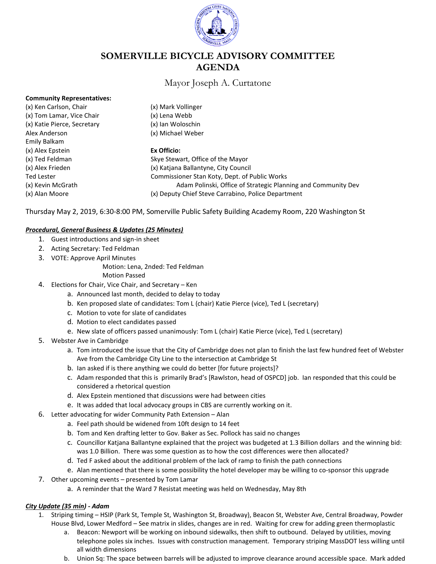

# **SOMERVILLE BICYCLE ADVISORY COMMITTEE AGENDA**

## Mayor Joseph A. Curtatone

### **Community Representatives:**

(x) Ken Carlson, Chair (x) Mark Vollinger (x) Tom Lamar, Vice Chair (x) Lena Webb (x) Katie Pierce, Secretary (x) Ian Woloschin Alex Anderson (x) Michael Weber Emily Balkam (x) Alex Epstein **Ex Officio:**

(x) Ted Feldman Skye Stewart, Office of the Mayor (x) Alex Frieden (x) Katjana Ballantyne, City Council Ted Lester **Commissioner Stan Koty, Dept. of Public Works** Commissioner Stan Koty, Dept. of Public Works (x) Kevin McGrath Adam Polinski, Office of Strategic Planning and Community Dev (x) Alan Moore (x) Deputy Chief Steve Carrabino, Police Department

Thursday May 2, 2019, 6:30-8:00 PM, Somerville Public Safety Building Academy Room, 220 Washington St

### *Procedural, General Business & Updates (25 Minutes)*

- 1. Guest introductions and sign-in sheet
- 2. Acting Secretary: Ted Feldman
- 3. VOTE: Approve April Minutes

Motion: Lena, 2nded: Ted Feldman

- Motion Passed
- 4. Elections for Chair, Vice Chair, and Secretary Ken
	- a. Announced last month, decided to delay to today
	- b. Ken proposed slate of candidates: Tom L (chair) Katie Pierce (vice), Ted L (secretary)
	- c. Motion to vote for slate of candidates
	- d. Motion to elect candidates passed
	- e. New slate of officers passed unanimously: Tom L (chair) Katie Pierce (vice), Ted L (secretary)
- 5. Webster Ave in Cambridge
	- a. Tom introduced the issue that the City of Cambridge does not plan to finish the last few hundred feet of Webster Ave from the Cambridge City Line to the intersection at Cambridge St
	- b. Ian asked if is there anything we could do better [for future projects]?
	- c. Adam responded that this is primarily Brad's [Rawlston, head of OSPCD] job. Ian responded that this could be considered a rhetorical question
	- d. Alex Epstein mentioned that discussions were had between cities
	- e. It was added that local advocacy groups in CBS are currently working on it.
- 6. Letter advocating for wider Community Path Extension Alan
	- a. Feel path should be widened from 10ft design to 14 feet
	- b. Tom and Ken drafting letter to Gov. Baker as Sec. Pollock has said no changes
	- c. Councillor Katjana Ballantyne explained that the project was budgeted at 1.3 Billion dollars and the winning bid: was 1.0 Billion. There was some question as to how the cost differences were then allocated?
	- d. Ted F asked about the additional problem of the lack of ramp to finish the path connections
	- e. Alan mentioned that there is some possibility the hotel developer may be willing to co-sponsor this upgrade
- 7. Other upcoming events presented by Tom Lamar
	- a. A reminder that the Ward 7 Resistat meeting was held on Wednesday, May 8th

### *City Update (35 min) - Adam*

- 1. Striping timing HSIP (Park St, Temple St, Washington St, Broadway), Beacon St, Webster Ave, Central Broadway, Powder House Blvd, Lower Medford – See matrix in slides, changes are in red. Waiting for crew for adding green thermoplastic
	- a. Beacon: Newport will be working on inbound sidewalks, then shift to outbound. Delayed by utilities, moving telephone poles six inches. Issues with construction management. Temporary striping MassDOT less willing until all width dimensions
	- b. Union Sq: The space between barrels will be adjusted to improve clearance around accessible space. Mark added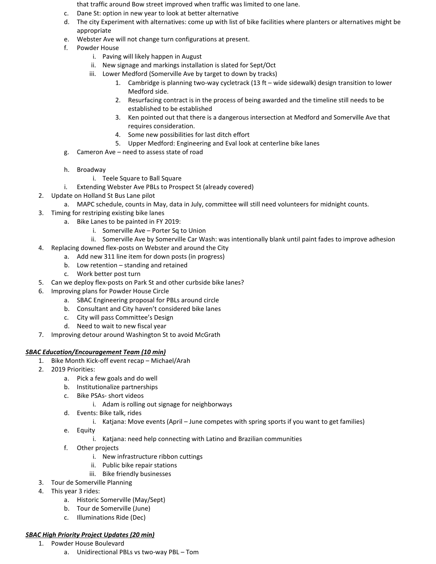that traffic around Bow street improved when traffic was limited to one lane.

- c. Dane St: option in new year to look at better alternative
- d. The city Experiment with alternatives: come up with list of bike facilities where planters or alternatives might be appropriate
- e. Webster Ave will not change turn configurations at present.
- f. Powder House
	- i. Paving will likely happen in August
	- ii. New signage and markings installation is slated for Sept/Oct
	- iii. Lower Medford (Somerville Ave by target to down by tracks)
		- 1. Cambridge is planning two-way cycletrack (13 ft wide sidewalk) design transition to lower Medford side.
		- 2. Resurfacing contract is in the process of being awarded and the timeline still needs to be established to be established
		- 3. Ken pointed out that there is a dangerous intersection at Medford and Somerville Ave that requires consideration.
		- 4. Some new possibilities for last ditch effort
		- 5. Upper Medford: Engineering and Eval look at centerline bike lanes
- g. Cameron Ave need to assess state of road
- h. Broadway
	- i. Teele Square to Ball Square
- i. Extending Webster Ave PBLs to Prospect St (already covered)
- 2. Update on Holland St Bus Lane pilot
	- a. MAPC schedule, counts in May, data in July, committee will still need volunteers for midnight counts.
- 3. Timing for restriping existing bike lanes
	- a. Bike Lanes to be painted in FY 2019:
		- i. Somerville Ave Porter Sq to Union
		- ii. Somerville Ave by Somerville Car Wash: was intentionally blank until paint fades to improve adhesion
- 4. Replacing downed flex-posts on Webster and around the City
	- a. Add new 311 line item for down posts (in progress)
	- b. Low retention standing and retained
	- c. Work better post turn
- 5. Can we deploy flex-posts on Park St and other curbside bike lanes?
- 6. Improving plans for Powder House Circle
	- a. SBAC Engineering proposal for PBLs around circle
	- b. Consultant and City haven't considered bike lanes
	- c. City will pass Committee's Design
	- d. Need to wait to new fiscal year
- 7. Improving detour around Washington St to avoid McGrath

### *SBAC Education/Encouragement Team (10 min)*

- 1. Bike Month Kick-off event recap Michael/Arah
- 2. 2019 Priorities:
	- a. Pick a few goals and do well
	- b. Institutionalize partnerships
	- c. Bike PSAs- short videos
		- i. Adam is rolling out signage for neighborways
	- d. Events: Bike talk, rides
		- i. Katjana: Move events (April June competes with spring sports if you want to get families)
	- e. Equity
		- i. Katjana: need help connecting with Latino and Brazilian communities
	- f. Other projects
		- i. New infrastructure ribbon cuttings
		- ii. Public bike repair stations
		- iii. Bike friendly businesses
- 3. Tour de Somerville Planning
- 4. This year 3 rides:
	- a. Historic Somerville (May/Sept)
	- b. Tour de Somerville (June)
	- c. Illuminations Ride (Dec)

### *SBAC High Priority Project Updates (20 min)*

- 1. Powder House Boulevard
	- a. Unidirectional PBLs vs two-way PBL Tom